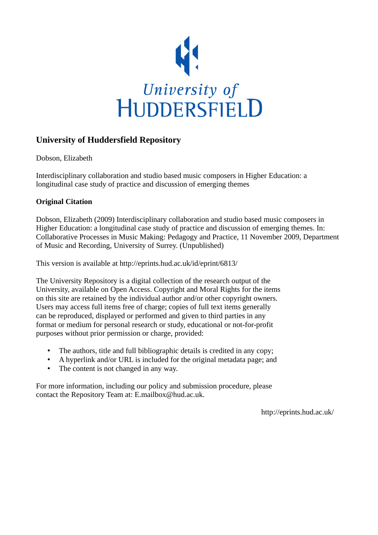

## **University of Huddersfield Repository**

Dobson, Elizabeth

Interdisciplinary collaboration and studio based music composers in Higher Education: a longitudinal case study of practice and discussion of emerging themes

## **Original Citation**

Dobson, Elizabeth (2009) Interdisciplinary collaboration and studio based music composers in Higher Education: a longitudinal case study of practice and discussion of emerging themes. In: Collaborative Processes in Music Making: Pedagogy and Practice, 11 November 2009, Department of Music and Recording, University of Surrey. (Unpublished)

This version is available at http://eprints.hud.ac.uk/id/eprint/6813/

The University Repository is a digital collection of the research output of the University, available on Open Access. Copyright and Moral Rights for the items on this site are retained by the individual author and/or other copyright owners. Users may access full items free of charge; copies of full text items generally can be reproduced, displayed or performed and given to third parties in any format or medium for personal research or study, educational or not-for-profit purposes without prior permission or charge, provided:

- The authors, title and full bibliographic details is credited in any copy;
- A hyperlink and/or URL is included for the original metadata page; and
- The content is not changed in any way.

For more information, including our policy and submission procedure, please contact the Repository Team at: E.mailbox@hud.ac.uk.

http://eprints.hud.ac.uk/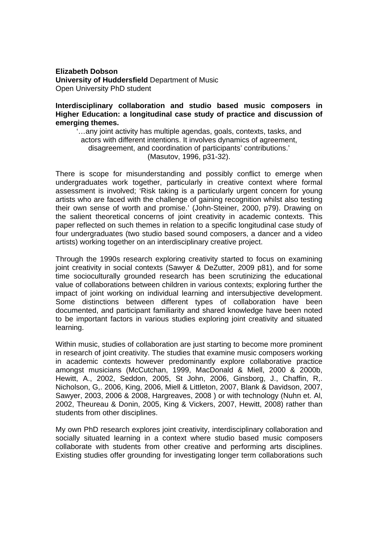**Elizabeth Dobson University of Huddersfield** Department of Music Open University PhD student

**Interdisciplinary collaboration and studio based music composers in Higher Education: a longitudinal case study of practice and discussion of emerging themes.** 

'…any joint activity has multiple agendas, goals, contexts, tasks, and actors with different intentions. It involves dynamics of agreement, disagreement, and coordination of participants' contributions.' (Masutov, 1996, p31-32).

There is scope for misunderstanding and possibly conflict to emerge when undergraduates work together, particularly in creative context where formal assessment is involved; 'Risk taking is a particularly urgent concern for young artists who are faced with the challenge of gaining recognition whilst also testing their own sense of worth and promise.' (John-Steiner, 2000, p79). Drawing on the salient theoretical concerns of joint creativity in academic contexts. This paper reflected on such themes in relation to a specific longitudinal case study of four undergraduates (two studio based sound composers, a dancer and a video artists) working together on an interdisciplinary creative project.

Through the 1990s research exploring creativity started to focus on examining joint creativity in social contexts (Sawyer & DeZutter, 2009 p81), and for some time socioculturally grounded research has been scrutinizing the educational value of collaborations between children in various contexts; exploring further the impact of joint working on individual learning and intersubjective development. Some distinctions between different types of collaboration have been documented, and participant familiarity and shared knowledge have been noted to be important factors in various studies exploring joint creativity and situated learning.

Within music, studies of collaboration are just starting to become more prominent in research of joint creativity. The studies that examine music composers working in academic contexts however predominantly explore collaborative practice amongst musicians (McCutchan, 1999, MacDonald & Miell, 2000 & 2000b, Hewitt, A., 2002, Seddon, 2005, St John, 2006, Ginsborg, J., Chaffin, R,. Nicholson, G,. 2006, King, 2006, Miell & Littleton, 2007, Blank & Davidson, 2007, Sawyer, 2003, 2006 & 2008, Hargreaves, 2008 ) or with technology (Nuhn et. Al, 2002, Theureau & Donin, 2005, King & Vickers, 2007, Hewitt, 2008) rather than students from other disciplines.

My own PhD research explores joint creativity, interdisciplinary collaboration and socially situated learning in a context where studio based music composers collaborate with students from other creative and performing arts disciplines. Existing studies offer grounding for investigating longer term collaborations such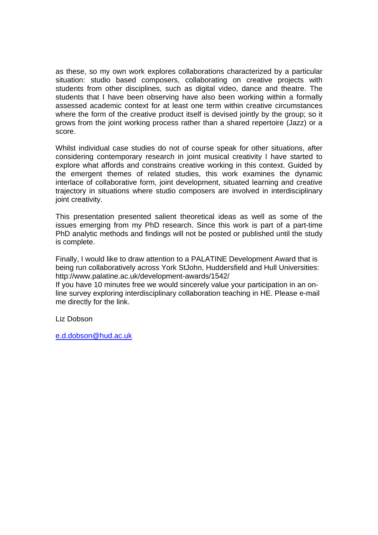as these, so my own work explores collaborations characterized by a particular situation: studio based composers, collaborating on creative projects with students from other disciplines, such as digital video, dance and theatre. The students that I have been observing have also been working within a formally assessed academic context for at least one term within creative circumstances where the form of the creative product itself is devised jointly by the group; so it grows from the joint working process rather than a shared repertoire (Jazz) or a score.

Whilst individual case studies do not of course speak for other situations, after considering contemporary research in joint musical creativity I have started to explore what affords and constrains creative working in this context. Guided by the emergent themes of related studies, this work examines the dynamic interlace of collaborative form, joint development, situated learning and creative trajectory in situations where studio composers are involved in interdisciplinary joint creativity.

This presentation presented salient theoretical ideas as well as some of the issues emerging from my PhD research. Since this work is part of a part-time PhD analytic methods and findings will not be posted or published until the study is complete.

Finally, I would like to draw attention to a PALATINE Development Award that is being run collaboratively across York StJohn, Huddersfield and Hull Universities: http://www.palatine.ac.uk/development-awards/1542/

If you have 10 minutes free we would sincerely value your participation in an online survey exploring interdisciplinary collaboration teaching in HE. Please e-mail me directly for the link.

Liz Dobson

e.d.dobson@hud.ac.uk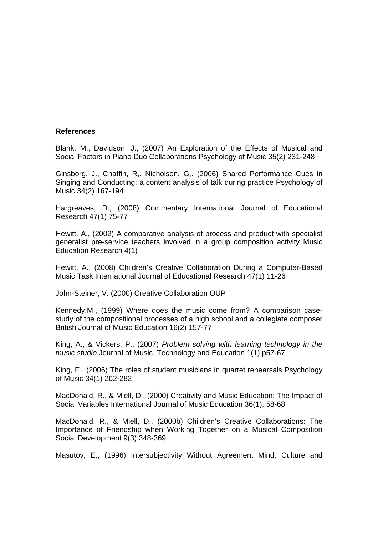## **References**

Blank, M., Davidson, J., (2007) An Exploration of the Effects of Musical and Social Factors in Piano Duo Collaborations Psychology of Music 35(2) 231-248

Ginsborg, J., Chaffin, R,. Nicholson, G,. (2006) Shared Performance Cues in Singing and Conducting: a content analysis of talk during practice Psychology of Music 34(2) 167-194

Hargreaves, D., (2008) Commentary International Journal of Educational Research 47(1) 75-77

Hewitt, A., (2002) A comparative analysis of process and product with specialist generalist pre-service teachers involved in a group composition activity Music Education Research 4(1)

Hewitt, A., (2008) Children's Creative Collaboration During a Computer-Based Music Task International Journal of Educational Research 47(1) 11-26

John-Steiner, V. (2000) Creative Collaboration OUP

Kennedy,M., (1999) Where does the music come from? A comparison casestudy of the compositional processes of a high school and a collegiate composer British Journal of Music Education 16(2) 157-77

King, A., & Vickers, P., (2007) *Problem solving with learning technology in the music studio* Journal of Music, Technology and Education 1(1) p57-67

King, E., (2006) The roles of student musicians in quartet rehearsals Psychology of Music 34(1) 262-282

MacDonald, R., & Miell, D., (2000) Creativity and Music Education: The Impact of Social Variables International Journal of Music Education 36(1), 58-68

MacDonald, R., & Miell, D., (2000b) Children's Creative Collaborations: The Importance of Friendship when Working Together on a Musical Composition Social Development 9(3) 348-369

Masutov, E., (1996) Intersubjectivity Without Agreement Mind, Culture and